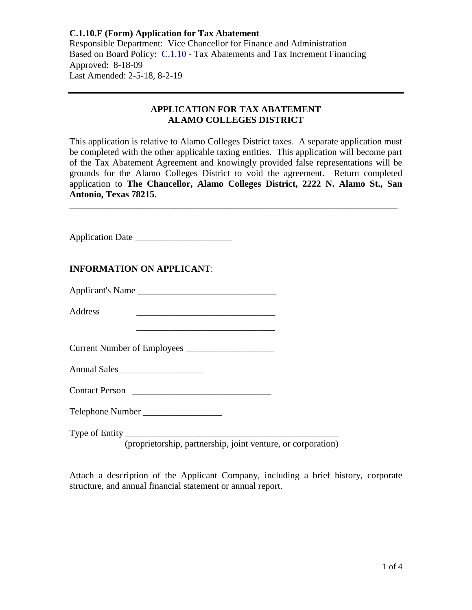Responsible Department: Vice Chancellor for Finance and Administration Based on Board Policy: [C.1.10](https://www.alamo.edu/siteassets/district/about-us/leadership/board-of-trustees/policies-pdfs/section-c/c.1.10-policy.pdf) - Tax Abatements and Tax Increment Financing Approved: 8-18-09 Last Amended: 2-5-18, 8-2-19

#### **APPLICATION FOR TAX ABATEMENT ALAMO COLLEGES DISTRICT**

This application is relative to Alamo Colleges District taxes. A separate application must be completed with the other applicable taxing entities. This application will become part of the Tax Abatement Agreement and knowingly provided false representations will be grounds for the Alamo Colleges District to void the agreement. Return completed application to **The Chancellor, Alamo Colleges District, 2222 N. Alamo St., San Antonio, Texas 78215**.

\_\_\_\_\_\_\_\_\_\_\_\_\_\_\_\_\_\_\_\_\_\_\_\_\_\_\_\_\_\_\_\_\_\_\_\_\_\_\_\_\_\_\_\_\_\_\_\_\_\_\_\_\_\_\_\_\_\_\_\_\_\_\_\_\_\_\_\_\_\_\_

Application Date \_\_\_\_\_\_\_\_\_\_\_\_\_\_\_\_\_\_\_\_\_

# **INFORMATION ON APPLICANT**:

| <b>Applicant's Name</b> |
|-------------------------|
|-------------------------|

Address \_\_\_\_\_\_\_\_\_\_\_\_\_\_\_\_\_\_\_\_\_\_\_\_\_\_\_\_\_\_

Current Number of Employees \_\_\_\_\_\_\_\_\_\_\_\_\_\_\_\_\_\_\_

Annual Sales \_\_\_\_\_\_\_\_\_\_\_\_\_\_\_\_\_\_

| <b>Contact Person</b> |  |
|-----------------------|--|
|-----------------------|--|

Telephone Number \_\_\_\_\_\_\_\_\_\_\_\_\_\_\_\_\_

Type of Entity

(proprietorship, partnership, joint venture, or corporation)

Attach a description of the Applicant Company, including a brief history, corporate structure, and annual financial statement or annual report.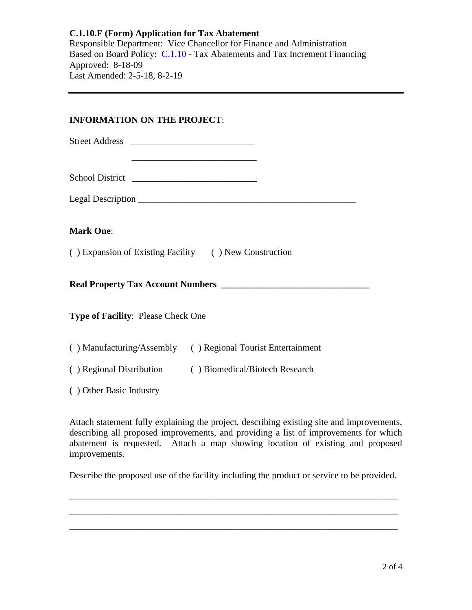Responsible Department: Vice Chancellor for Finance and Administration Based on Board Policy: [C.1.10](https://www.alamo.edu/siteassets/district/about-us/leadership/board-of-trustees/policies-pdfs/section-c/c.1.10-policy.pdf) - Tax Abatements and Tax Increment Financing Approved: 8-18-09 Last Amended: 2-5-18, 8-2-19

# **INFORMATION ON THE PROJECT**:

Street Address \_\_\_\_\_\_\_\_\_\_\_\_\_\_\_\_\_\_\_\_\_\_\_\_\_\_\_

School District \_\_\_\_\_\_\_\_\_\_\_\_\_\_\_\_\_\_\_\_\_\_\_\_\_\_\_

Legal Description \_\_\_\_\_\_\_\_\_\_\_\_\_\_\_\_\_\_\_\_\_\_\_\_\_\_\_\_\_\_\_\_\_\_\_\_\_\_\_\_\_\_\_\_\_\_\_

 $\overline{\phantom{a}}$  , we can consider the constraint of  $\overline{\phantom{a}}$ 

# **Mark One**:

( ) Expansion of Existing Facility ( ) New Construction

**Real Property Tax Account Numbers** 

**Type of Facility**: Please Check One

| () Manufacturing/Assembly | () Regional Tourist Entertainment |
|---------------------------|-----------------------------------|
|---------------------------|-----------------------------------|

( ) Regional Distribution ( ) Biomedical/Biotech Research

( ) Other Basic Industry

Attach statement fully explaining the project, describing existing site and improvements, describing all proposed improvements, and providing a list of improvements for which abatement is requested. Attach a map showing location of existing and proposed improvements.

Describe the proposed use of the facility including the product or service to be provided.

\_\_\_\_\_\_\_\_\_\_\_\_\_\_\_\_\_\_\_\_\_\_\_\_\_\_\_\_\_\_\_\_\_\_\_\_\_\_\_\_\_\_\_\_\_\_\_\_\_\_\_\_\_\_\_\_\_\_\_\_\_\_\_\_\_\_\_\_\_\_\_ \_\_\_\_\_\_\_\_\_\_\_\_\_\_\_\_\_\_\_\_\_\_\_\_\_\_\_\_\_\_\_\_\_\_\_\_\_\_\_\_\_\_\_\_\_\_\_\_\_\_\_\_\_\_\_\_\_\_\_\_\_\_\_\_\_\_\_\_\_\_\_ \_\_\_\_\_\_\_\_\_\_\_\_\_\_\_\_\_\_\_\_\_\_\_\_\_\_\_\_\_\_\_\_\_\_\_\_\_\_\_\_\_\_\_\_\_\_\_\_\_\_\_\_\_\_\_\_\_\_\_\_\_\_\_\_\_\_\_\_\_\_\_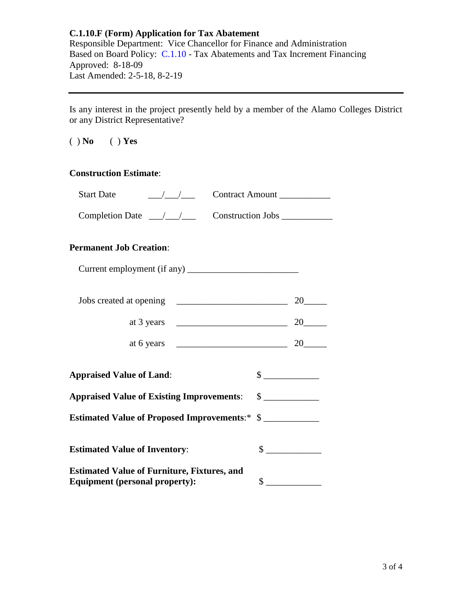Responsible Department: Vice Chancellor for Finance and Administration Based on Board Policy: [C.1.10](https://www.alamo.edu/siteassets/district/about-us/leadership/board-of-trustees/policies-pdfs/section-c/c.1.10-policy.pdf) - Tax Abatements and Tax Increment Financing Approved: 8-18-09 Last Amended: 2-5-18, 8-2-19

Is any interest in the project presently held by a member of the Alamo Colleges District or any District Representative?

( ) **No** ( ) **Yes**

### **Construction Estimate**:

| <b>Start Date</b>                                     | <b>Contract Amount</b> |
|-------------------------------------------------------|------------------------|
| Completion Date $\angle$ / $\angle$ Construction Jobs |                        |
| <b>Permanent Job Creation:</b>                        |                        |

| Current employment (if any) |  |
|-----------------------------|--|
|-----------------------------|--|

| Jobs created at opening |  |
|-------------------------|--|
| at 3 years              |  |

| at 6 years<br><u>.</u> |  |
|------------------------|--|

| <b>Appraised Value of Land:</b> |  |
|---------------------------------|--|
|                                 |  |

**Appraised Value of Existing Improvements**: \$ \_\_\_\_\_\_\_\_\_\_\_\_

**Estimated Value of Proposed Improvements**:\* \$ \_\_\_\_\_\_\_\_\_\_\_\_

| <b>Estimated Value of Inventory:</b>                                                        |  |
|---------------------------------------------------------------------------------------------|--|
| <b>Estimated Value of Furniture, Fixtures, and</b><br><b>Equipment</b> (personal property): |  |